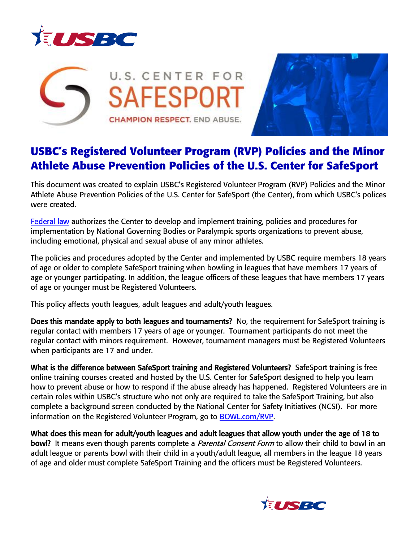





## **USBC's Registered Volunteer Program (RVP) Policies and the Minor Athlete Abuse Prevention Policies of the U.S. Center for SafeSport**

This document was created to explain USBC's Registered Volunteer Program (RVP) Policies and the Minor Athlete Abuse Prevention Policies of the U.S. Center for SafeSport (the Center), from which USBC's polices were created.

**[Federal law](https://www.congress.gov/bill/115th-congress/senate-bill/534)** authorizes the Center to develop and implement training, policies and procedures for implementation by National Governing Bodies or Paralympic sports organizations to prevent abuse, including emotional, physical and sexual abuse of any minor athletes.

The policies and procedures adopted by the Center and implemented by USBC require members 18 years of age or older to complete SafeSport training when bowling in leagues that have members 17 years of age or younger participating. In addition, the league officers of these leagues that have members 17 years of age or younger must be Registered Volunteers.

This policy affects youth leagues, adult leagues and adult/youth leagues.

Does this mandate apply to both leagues and tournaments? No, the requirement for SafeSport training is regular contact with members 17 years of age or younger. Tournament participants do not meet the regular contact with minors requirement. However, tournament managers must be Registered Volunteers when participants are 17 and under.

What is the difference between SafeSport training and Registered Volunteers? SafeSport training is free online training courses created and hosted by the U.S. Center for SafeSport designed to help you learn how to prevent abuse or how to respond if the abuse already has happened. Registered Volunteers are in certain roles within USBC's structure who not only are required to take the SafeSport Training, but also complete a background screen conducted by the National Center for Safety Initiatives (NCSI). For more information on the Registered Volunteer Program, go to **BOWL.com/RVP**.

What does this mean for adult/youth leagues and adult leagues that allow youth under the age of 18 to **bowl?** It means even though parents complete a *Parental Consent Form* to allow their child to bowl in an adult league or parents bowl with their child in a youth/adult league, all members in the league 18 years of age and older must complete SafeSport Training and the officers must be Registered Volunteers.